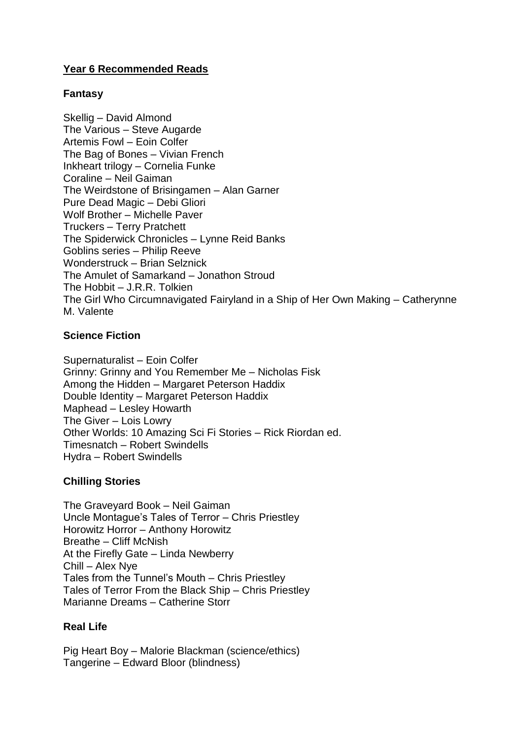# **Year 6 Recommended Reads**

## **Fantasy**

Skellig – David Almond The Various – Steve Augarde Artemis Fowl – Eoin Colfer The Bag of Bones – Vivian French Inkheart trilogy – Cornelia Funke Coraline – Neil Gaiman The Weirdstone of Brisingamen – Alan Garner Pure Dead Magic – Debi Gliori Wolf Brother – Michelle Paver Truckers – Terry Pratchett The Spiderwick Chronicles – Lynne Reid Banks Goblins series – Philip Reeve Wonderstruck – Brian Selznick The Amulet of Samarkand – Jonathon Stroud The Hobbit – J.R.R. Tolkien The Girl Who Circumnavigated Fairyland in a Ship of Her Own Making – Catherynne M. Valente

## **Science Fiction**

Supernaturalist – Eoin Colfer Grinny: Grinny and You Remember Me – Nicholas Fisk Among the Hidden – Margaret Peterson Haddix Double Identity – Margaret Peterson Haddix Maphead – Lesley Howarth The Giver – Lois Lowry Other Worlds: 10 Amazing Sci Fi Stories – Rick Riordan ed. Timesnatch – Robert Swindells Hydra – Robert Swindells

## **Chilling Stories**

The Graveyard Book – Neil Gaiman Uncle Montague's Tales of Terror – Chris Priestley Horowitz Horror – Anthony Horowitz Breathe – Cliff McNish At the Firefly Gate – Linda Newberry Chill – Alex Nye Tales from the Tunnel's Mouth – Chris Priestley Tales of Terror From the Black Ship – Chris Priestley Marianne Dreams – Catherine Storr

## **Real Life**

Pig Heart Boy – Malorie Blackman (science/ethics) Tangerine – Edward Bloor (blindness)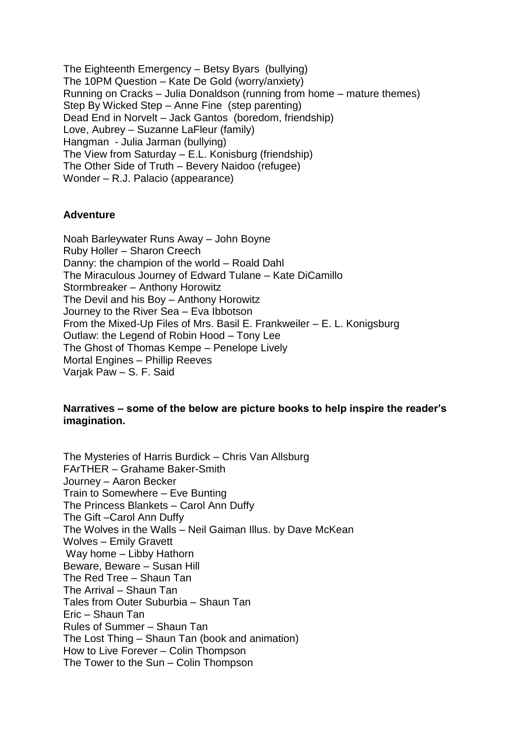The Eighteenth Emergency – Betsy Byars (bullying) The 10PM Question – Kate De Gold (worry/anxiety) Running on Cracks – Julia Donaldson (running from home – mature themes) Step By Wicked Step – Anne Fine (step parenting) Dead End in Norvelt – Jack Gantos (boredom, friendship) Love, Aubrey – Suzanne LaFleur (family) Hangman - Julia Jarman (bullying) The View from Saturday – E.L. Konisburg (friendship) The Other Side of Truth – Bevery Naidoo (refugee) Wonder – R.J. Palacio (appearance)

#### **Adventure**

Noah Barleywater Runs Away – John Boyne Ruby Holler – Sharon Creech Danny: the champion of the world – Roald Dahl The Miraculous Journey of Edward Tulane – Kate DiCamillo Stormbreaker – Anthony Horowitz The Devil and his Boy – Anthony Horowitz Journey to the River Sea – Eva Ibbotson From the Mixed-Up Files of Mrs. Basil E. Frankweiler – E. L. Konigsburg Outlaw: the Legend of Robin Hood – Tony Lee The Ghost of Thomas Kempe – Penelope Lively Mortal Engines – Phillip Reeves Varjak Paw – S. F. Said

## **Narratives – some of the below are picture books to help inspire the reader's imagination.**

The Mysteries of Harris Burdick – Chris Van Allsburg FArTHER – Grahame Baker-Smith Journey – Aaron Becker Train to Somewhere – Eve Bunting The Princess Blankets – Carol Ann Duffy The Gift –Carol Ann Duffy The Wolves in the Walls – Neil Gaiman Illus. by Dave McKean Wolves – Emily Gravett Way home – Libby Hathorn Beware, Beware – Susan Hill The Red Tree – Shaun Tan The Arrival – Shaun Tan Tales from Outer Suburbia – Shaun Tan Eric – Shaun Tan Rules of Summer – Shaun Tan The Lost Thing – Shaun Tan (book and animation) How to Live Forever – Colin Thompson The Tower to the Sun – Colin Thompson